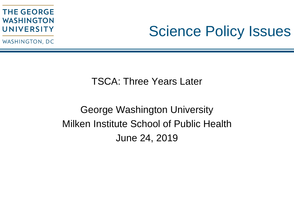WASHINGTON, DC

### Science Policy Issues

#### TSCA: Three Years Later

### George Washington University Milken Institute School of Public Health June 24, 2019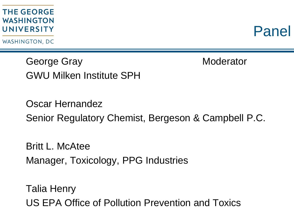WASHINGTON, DC

Panel

George Gray **Moderator** GWU Milken Institute SPH

Oscar Hernandez Senior Regulatory Chemist, Bergeson & Campbell P.C.

Britt L. McAtee Manager, Toxicology, PPG Industries

Talia Henry US EPA Office of Pollution Prevention and Toxics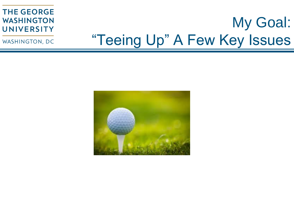# My Goal: "Teeing Up" A Few Key Issues

WASHINGTON, DC

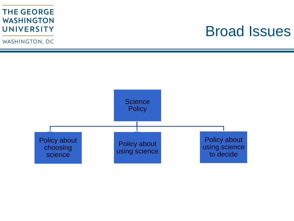WASHINGTON, DC

### Broad Issues

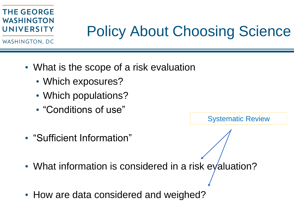### Policy About Choosing Science

WASHINGTON, DC

- What is the scope of a risk evaluation
	- Which exposures?
	- Which populations?
	- "Conditions of use"

Systematic Review

- "Sufficient Information"
- What information is considered in a risk evaluation?
- How are data considered and weighed?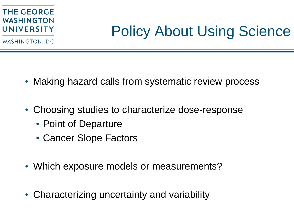### Policy About Using Science

WASHINGTON, DC

- Making hazard calls from systematic review process
- Choosing studies to characterize dose-response
	- Point of Departure
	- Cancer Slope Factors
- Which exposure models or measurements?
- Characterizing uncertainty and variability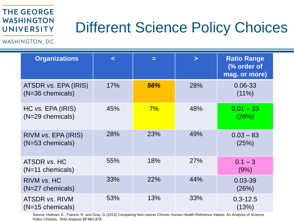### Different Science Policy Choices

WASHINGTON, DC

| <b>Organizations</b>                       | $\prec$ | Е   | $\geq$ | <b>Ratio Range</b><br>(% order of<br>mag. or more) |
|--------------------------------------------|---------|-----|--------|----------------------------------------------------|
| ATSDR vs. EPA (IRIS)<br>$(N=36$ chemicals) | 17%     | 56% | 28%    | 0.06-33<br>$(11\%)$                                |
| HC vs. EPA (IRIS)<br>$(N=29$ chemicals)    | 45%     | 7%  | 48%    | $0.01 - 33$<br>(28%)                               |
| RIVM vs. EPA (IRIS)<br>$(N=53$ chemicals)  | 28%     | 23% | 49%    | $0.03 - 83$<br>(25%)                               |
| ATSDR vs. HC<br>$(N=11$ chemicals)         | 55%     | 18% | 27%    | $0.1 - 3$<br>(9%)                                  |
| RIVM vs. HC<br>$(N=27$ chemicals)          | 33%     | 22% | 44%    | 0.03-39<br>(26%)                                   |
| ATSDR vs. RIVM<br>$(N=15$ chemicals)       | 53%     | 13% | 33%    | $0.3 - 12.5$<br>(13%)                              |

Source: Holman, E., Francis, R. and Gray, G (2016) Comparing Non-cancer Chronic Human Health Reference Values: An Analysis of Science Policy Choices. *Risk Analysis* **37**:861-878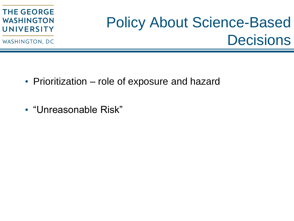WASHINGTON, DC

# Policy About Science-Based **Decisions**

- Prioritization role of exposure and hazard
- "Unreasonable Risk"